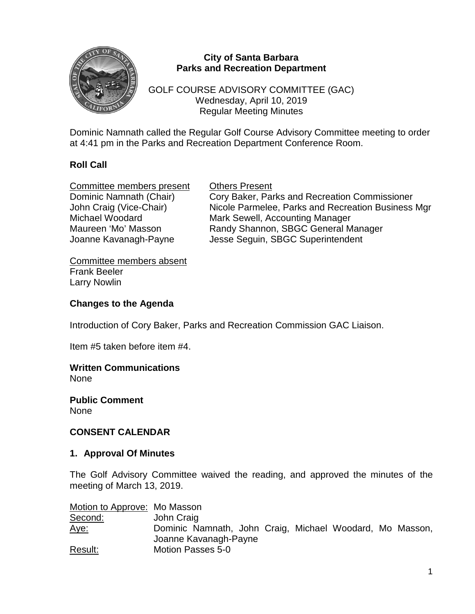

## **City of Santa Barbara Parks and Recreation Department**

GOLF COURSE ADVISORY COMMITTEE (GAC) Wednesday, April 10, 2019 Regular Meeting Minutes

Dominic Namnath called the Regular Golf Course Advisory Committee meeting to order at 4:41 pm in the Parks and Recreation Department Conference Room.

# **Roll Call**

**Committee members present Committee Members present Committee Members** Cory Baker, Part Joanne Kavanagh-Payne Jesse Seguin, SBGC Superintendent

Cory Baker, Parks and Recreation Commissioner John Craig (Vice-Chair) Nicole Parmelee, Parks and Recreation Business Mgr<br>Michael Woodard Mark Sewell, Accounting Manager Mark Sewell, Accounting Manager Maureen 'Mo' Masson Randy Shannon, SBGC General Manager

Committee members absent Frank Beeler Larry Nowlin

### **Changes to the Agenda**

Introduction of Cory Baker, Parks and Recreation Commission GAC Liaison.

Item #5 taken before item #4.

# **Written Communications**

None

**Public Comment** None

#### **CONSENT CALENDAR**

#### **1. Approval Of Minutes**

The Golf Advisory Committee waived the reading, and approved the minutes of the meeting of March 13, 2019.

Motion to Approve: Mo Masson

| Second:     | John Craig                                               |
|-------------|----------------------------------------------------------|
| <u>Aye:</u> | Dominic Namnath, John Craig, Michael Woodard, Mo Masson, |
|             | Joanne Kavanagh-Payne                                    |
| Result:     | Motion Passes 5-0                                        |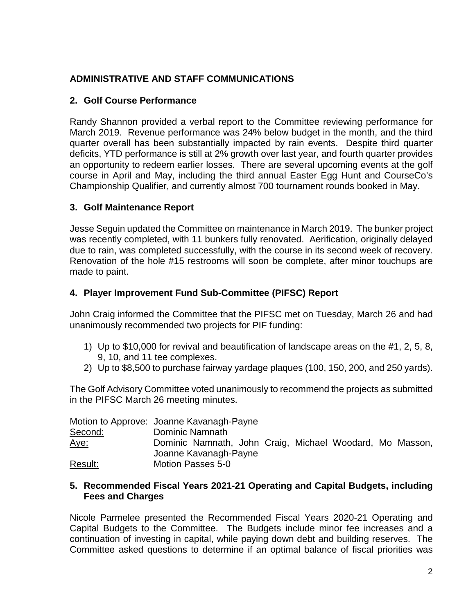# **ADMINISTRATIVE AND STAFF COMMUNICATIONS**

## **2. Golf Course Performance**

Randy Shannon provided a verbal report to the Committee reviewing performance for March 2019. Revenue performance was 24% below budget in the month, and the third quarter overall has been substantially impacted by rain events. Despite third quarter deficits, YTD performance is still at 2% growth over last year, and fourth quarter provides an opportunity to redeem earlier losses. There are several upcoming events at the golf course in April and May, including the third annual Easter Egg Hunt and CourseCo's Championship Qualifier, and currently almost 700 tournament rounds booked in May.

### **3. Golf Maintenance Report**

Jesse Seguin updated the Committee on maintenance in March 2019. The bunker project was recently completed, with 11 bunkers fully renovated. Aerification, originally delayed due to rain, was completed successfully, with the course in its second week of recovery. Renovation of the hole #15 restrooms will soon be complete, after minor touchups are made to paint.

# **4. Player Improvement Fund Sub-Committee (PIFSC) Report**

John Craig informed the Committee that the PIFSC met on Tuesday, March 26 and had unanimously recommended two projects for PIF funding:

- 1) Up to \$10,000 for revival and beautification of landscape areas on the #1, 2, 5, 8, 9, 10, and 11 tee complexes.
- 2) Up to \$8,500 to purchase fairway yardage plaques (100, 150, 200, and 250 yards).

The Golf Advisory Committee voted unanimously to recommend the projects as submitted in the PIFSC March 26 meeting minutes.

|             | Motion to Approve: Joanne Kavanagh-Payne                 |
|-------------|----------------------------------------------------------|
| Second:     | Dominic Namnath                                          |
| <u>Aye:</u> | Dominic Namnath, John Craig, Michael Woodard, Mo Masson, |
|             | Joanne Kavanagh-Payne                                    |
| Result:     | Motion Passes 5-0                                        |

#### **5. Recommended Fiscal Years 2021-21 Operating and Capital Budgets, including Fees and Charges**

Nicole Parmelee presented the Recommended Fiscal Years 2020-21 Operating and Capital Budgets to the Committee. The Budgets include minor fee increases and a continuation of investing in capital, while paying down debt and building reserves. The Committee asked questions to determine if an optimal balance of fiscal priorities was